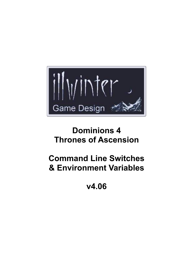

# **Dominions 4 Thrones of Ascension**

# **Command Line Switches & Environment Variables**

**v4.06**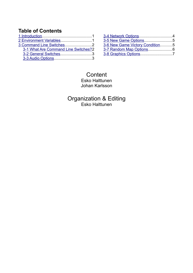# **Table of Contents**

| 3-1 What Are Command Line Switches?2 |  |
|--------------------------------------|--|
| 3-2 General Switches3                |  |
|                                      |  |

| 3-5 New Game Options5           |
|---------------------------------|
| 3-6 New Game Victory Condition5 |
|                                 |
|                                 |
|                                 |

## **Content** Esko Halttunen Johan Karlsson

Organization & Editing Esko Halttunen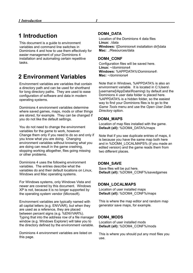# <span id="page-2-1"></span>**1 Introduction**

This document is a guide to environment variables and command line switches in Dominions 4 and how to use them effectively for easier management of your Dominions 4 installation and automating certain repetitive tasks.

# <span id="page-2-0"></span>**2 Environment Variables**

Environment variables are variables that contain a directory path and can be used for shorthand for long directory paths. They are used to ease configuration of software and data in modern operating systems.

Dominions 4 environment variables determine where saved games, maps, mods or other things are stored, for example. They can be changed if you do not like the default settings.

You do not need to change the environment variables for the game to work, however. Change them only if you need to do so and only if you know what you are doing. Changing environment variables without knowing what you are doing can result in the game crashing, stopping working altogether, files going missing or other problems.

Dominions 4 uses the following environment variables. The entries describe what the variables do and their default locations on Linux, Windows and Mac operating systems.

For Windows systems, only Windows Vista and newer are covered by this document. Windows XP is not, because it is no longer supported by the operating system vendor (Microsoft).

Environment variables are typically named with all capital letters (e.g. ENVVAR), but when they are used as a reference, they are placed between percent signs (e.g. %ENVVAR%). Typing that into the address row of a file manager window (e.g. Windows Explorer) will take you to the directory defined by the environment variable.

Dominions 4 environment variables are listed on this page.

#### **DOM4\_DATA**

Location of the Dominions 4 data files **Linux:** ./data **Windows:** \[Dominions4 installation dir]\data **Mac:** ../Resources/data

#### **DOM4\_CONF**

Configuration files will be saved here. **Linux:** ~/dominions4 **Windows:** %APPDATA%\Dominions4\ **Mac:** ~/dominions4

Note that in Windows, %APPDATA% is also an environment variable. It is located in C:\Users\ [username]\AppData\Roaming\ by default and the Dominions 4 user data folder is placed here. %APPDATA% is a hidden folder, so the easiest way to find your Dominions files is to go to the *Game Tools* menu and use the *Open User Data Directory* option.

#### **DOM4\_MAPS**

Location of map files installed with the game. **Default (all):** %DOM4\_DATA%/maps

Note that if you see duplicate entries of maps, it is because you have the same map both here and in %DOM4\_LOCALMAPS% (if you made an edited version) and the game reads them from two different places.

#### **DOM4\_SAVE**

Save files will be put here. **Default (all):** %DOM4\_CONF%/savedgames

#### **DOM4\_LOCALMAPS**

Location of user installed maps **Default (all):** %DOM4\_CONF%/maps

This is where the map editor and random map generator save maps, for example.

#### **DOM4\_MODS**

Location of user installed mods **Default (all):** %DOM4\_CONF%/mods

This is where you should put any mod files you use.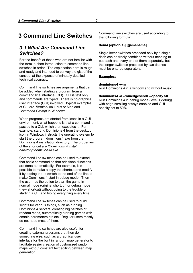# <span id="page-3-1"></span>**3 Command Line Switches**

### <span id="page-3-0"></span>*3-1 What Are Command Line Switches?*

For the benefit of those who are not familiar with the term, a short introduction to command line switches in order. The explanation here is rough and ready and intended to convey the gist of the concept at the expense of minutely detailed technical accuracy.

Command line switches are arguments that can be added when starting a program from a command line interface (CLI). CLI is text only and commands are typed. There is no graphical user interface (GUI) involved. Typical examples of CLI are *Terminal* on Linux or Mac and *Command Prompt* in Windows.

When programs are started from icons in a GUI environment, what happens is that a command is passed to a CLI, which then executes it. For example, starting Dominions 4 from the desktop icon in Windows instructs the operating system to start the program dominions4.exe from the Dominions 4 installation directory. The properties of the shortcut are *[Dominions 4 install directory]\dominions4.exe*.

Command line switches can be used to extend that basic command so that additional functions are done automatically. For example, it is possible to make a copy the shortcut and modify it by adding the -d switch to the end of the line to make Dominions 4 start in debug mode. Then the user has the option to start the game in normal mode (original shortcut) or debug mode (new shortcut) without going to the trouble of starting a CLI and typing everything every time.

Command line switches can be used to build scripts for various things, such as running Dominions 4 servers, creating big batches of random maps, automatically starting games with certain parameters etc etc. Regular users mostly do not need most of them.

Command line switches are also useful for creating external programs that then do something else, such as a graphical user interface for the built in random map generator to facilitate easier creation of customized random maps without constant text editing between map generation.

Command line switches are used according to the following formula:

#### **dom4 [option(s)] [gamename]**

Single letter switches preceded only by a single dash can be freely combined without needing to put each and every one of them separately, but the longer switches preceded by two dashes must be entered separately.

#### **Examples:**

#### **dominions4 -wm**

Run Dominions 4 in a window and without music.

#### **dominions4 -d --winedgescroll --opacity 50**

Run Dominions 4 in debug mode (level 1 debug) with edge scrolling always enabled and GUI opacity set to 50%.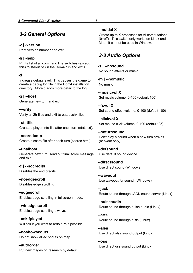<span id="page-4-1"></span>**-v | -version** Print version number and exit.

#### **-h | -help**

Prints list of all command line switches (except this) to stdout.txt (in the Dom4 dir) and exits.

#### **-d**

Increase debug level. This causes the game to create a debug log file in the Dom4 installation directory. More d adds more detail to the log.

**-g | --host** Generate new turn and exit.

**--verify** Verify all 2h-files and exit (creates .chk files)

**--statfile** Create a player info file after each turn (stats.txt).

**--scoredump** Create a score file after each turn (scores.html).

**--finalhost** Generate new turn, send out final score message and exit.

**-c | --nocredits** Disables the end credits.

**--noedgescroll** Disables edge scrolling.

**--edgescroll** Enables edge scrolling in fullscreen mode.

**--winedgescroll** Enables edge scrolling always.

**--askifplayed** Will ask if you want to redo turn if possible.

**--noshowscouts** Do not show allied scouts on map.

**--autoorder** Put new mages on research by default.

#### **--multiai X**

Create up to X processes for AI computations (0=off). This switch only works on Linux and Mac. It cannot be used in Windows.

# <span id="page-4-0"></span>*3-3 Audio Options*

**-s | --nosound** No sound effects or music

**-m | --nomusic** No music

**--musicvol X** Set music volume, 0-100 (default 100)

**--fxvol X** Set sound effect volume, 0-100 (default 100)

**--clickvol X** Set mouse click volume, 0-100 (default 25)

#### **--noturnsound** Don't play a sound when a new turn arrives (network only)

**--defsound** Use default sound device

**--directsound** Use direct sound (Windows)

**--waveout** Use waveout for sound (Windows)

**--jack** Route sound through JACK sound server (Linux)

**--pulseaudio** Route sound through pulse audio (Linux)

**--arts** Route sound through aRts (Linux)

**--alsa** Use direct alsa sound output (Linux)

**--oss** Use direct oss sound output (Linux)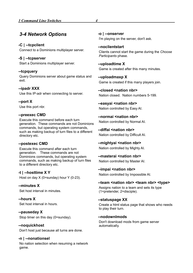# <span id="page-5-0"></span>*3-4 Network Options*

**-C | --tcpclient** Connect to a Dominions multiplayer server.

**-S | --tcpserver** Start a Dominions multiplayer server.

#### **--tcpquery**

Query Dominions server about game status and exit.

**--ipadr XXX** Use this IP-adr when connecting to server.

**--port X** Use this port nbr.

#### **--preexec CMD**

Execute this command before each turn generation. These commands are not Dominions commands, but operating system commands, such as making backup of turn files to a different directory etc.

#### **--postexec CMD**

Execute this command after each turn generation. These commands are not Dominions commands, but operating system commands, such as making backup of turn files to a different directory etc.

**-t | --hosttime X Y** Host on day  $X$  (0=sunday) hour  $Y$  (0-23).

**--minutes X**

Set host interval in minutes.

**--hours X** Set host interval in hours.

**--pauseday X** Stop timer on this day (0=sunday).

**--noquickhost** Don't host just because all turns are done.

#### **-n | --nonationsel**

No nation selection when resuming a network game.

**-o | --onserver** I'm playing on the server, don't ask.

**--noclientstart** Clients cannot start the game during the *Choose Participants* phase.

**--uploadtime X** Game is created after this many minutes.

**--uploadmaxp X** Game is created if this many players join.

**--closed <nation nbr>** Nation closed. Nation numbers 5-199.

**--easyai <nation nbr>** Nation controlled by Easy AI.

**--normai <nation nbr>** Nation controlled by Normal AI.

**--diffai <nation nbr>** Nation controlled by Difficult AI.

**--mightyai <nation nbr>** Nation controlled by Mighty AI.

--masterai <nation nbr> Nation controlled by Master AI.

--impai <nation nbr> Nation controlled by Impossible AI.

#### **--team <nation nbr> <team nbr> <type>**

Assigns nation to a team and sets its type (1=pretender, 2=disciple).

**--statuspage XX**

Create a html status page that shows who needs to play their turn.

#### **--nodownlmods**

Don't download mods from game server automatically.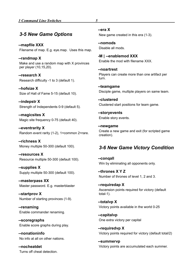### <span id="page-6-1"></span>*3-5 New Game Options*

**--mapfile XXX** Filename of map. E.g. eye.map. Uses this map.

**--randmap X** Make and use a random map with X provinces per player (10,15,20).

**--research X** Research difficulty -1 to 3 (default 1).

**--hofsize X** Size of Hall of Fame 5-15 (default 10).

**--indepstr X** Strength of Independents 0-9 (default 5).

**--magicsites X** Magic site frequency 0-75 (default 40).

**--eventrarity X** Random event rarity (1-2), 1=common 2=rare.

**--richness X** Money multiple 50-300 (default 100).

**--resources X** Resource multiple 50-300 (default 100).

**--supplies X** Supply multiple 50-300 (default 100).

**--masterpass XX** Master password. E.g. masterblaster

**--startprov X** Number of starting provinces (1-9).

**--renaming** Enable commander renaming.

**--scoregraphs** Enable score graphs during play.

**--nonationinfo** No info at all on other nations.

**--nocheatdet** Turns off cheat detection.

#### **--era X**

New game created in this era (1-3).

**--nomods** Disable all mods.

**-M | --enablemod XXX** Enable the mod with filename XXX.

**--noartrest** Players can create more than one artifact per turn.

**--teamgame** Disciple game, multiple players on same team.

**--clustered** Clustered start positions for team game.

**--storyevents** Enable story events.

**--newgame** Create a new game and exit (for scripted game creation).

### <span id="page-6-0"></span>*3-6 New Game Victory Condition*

**--conqall** Win by eliminating all opponents only.

**--thrones X Y Z** Number of thrones of level 1, 2 and 3.

**--requiredap X** Ascension points required for victory (default total-1).

**--totalvp X** Victory points available in the world 0-25

**--capitalvp** One extra victory per capital

**--requiredvp X** Victory points required for victory (default total/2)

**--summervp** Victory points are accumulated each summer.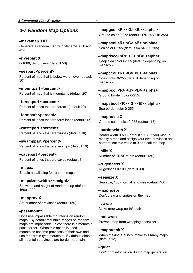### <span id="page-7-0"></span>*3-7 Random Map Options*

**--makemap XXX** Generate a random map with filename XXX and exit.

**--riverpart X** 0-1000, 0=no rivers (default 50)

--seapart <percent> Percent of map that is below water level (default 30)

**--mountpart <percent>** Percent of map that is mountains (default 20)

**--forestpart <percent>** Percent of lands that are forests (default 20)

**--farmpart <percent>** Percent of lands that are farm lands (default 15)

--wastepart <percent> Percent of lands that are wastes (default 10)

**--swamppart <percent>** Percent of lands that are swamps (default 10)

**--cavepart <percent>** Percent of lands that are caves (default 3)

**--mapaa** Enable antialiasing for random maps

--mapsize <width> <height> Set width and height of random map (default 1600 1200)

**--mapprov X** Set number of provinces (default 150)

#### **--passmount**

Don't use impassable mountains on random maps. By default mountain ranges on random maps are impassable unless there is a mountain pass border. When this option is used, mountains become provinces of their own and use the terrain type mountain. By default almost all mountain provinces are border mountains.

**--mapgcol <R> <G> <B> <alpha>** Ground color 0-255 (default 170 146 116 255).

**--mapscol <R> <G> <B> <alpha>** Sea color 0-255 (default 54 54 130 255).

**--mapdscol <R> <G> <B> <alpha>** Deep Sea color 0-255 (default depending on mapscol).

**--mapccol <R> <G> <B> <alpha>** Coast color 0-255 (default depending on mapscol).

**--mapbcol <R> <G> <B> <alpha>** Ground border color 0-255.

**--mapsbcol <R> <G> <B> <alpha>** Sea border color 0-255.

**--mapnoise X** Ground color noise 0-255 (default 15).

**--borderwidth X** Border width 0-500 (default 100). If you wish to modify a map and assign your own provinces and borders, set this value to 0 and edit the map.

**--hills X** Number of Hills/Craters (default 150)

**--rugedness X** Rugedness 0-100 (default 30)

**--seasize X** Sea size, 100=normal land size (default 400)

**--mapnospr** Don't draw any sprites on the map

**--vwrap** Make map wrap north/south

**--nohwrap**

Prevent map from wrapping east/west

**--mapbunch X**

When making a bunch, make this many maps (default 12)

**--quiet**

Don't print information during map generation.